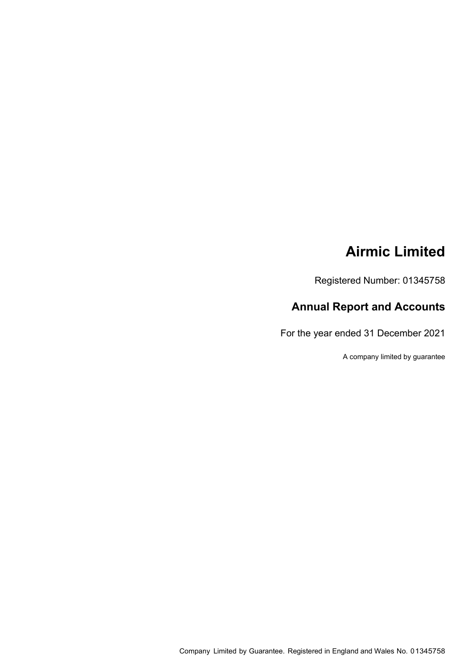# **Airmic Limited**

Registered Number: 01345758

# **Annual Report and Accounts**

For the year ended 31 December 2021

A company limited by guarantee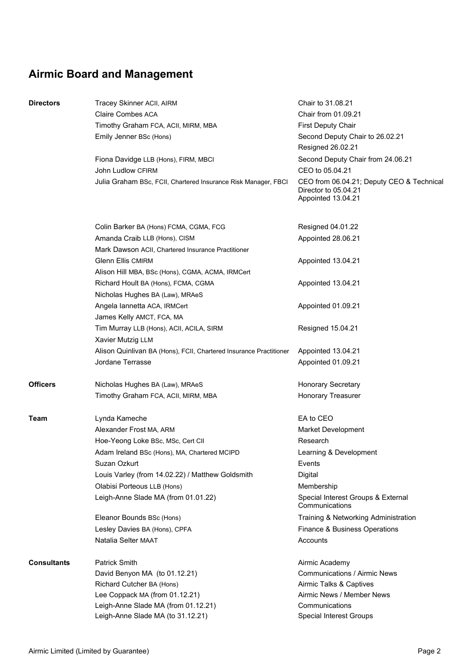# **Airmic Board and Management**

| <b>Directors</b> | Tracey Skinner ACII, AIRM<br><b>Claire Combes ACA</b><br>Timothy Graham FCA, ACII, MIRM, MBA<br>Emily Jenner BSc (Hons)<br>Fiona Davidge LLB (Hons), FIRM, MBCI | Chair to 31.08.21<br>Chair from 01.09.21<br><b>First Deputy Chair</b><br>Second Deputy Chair to 26.02.21<br>Resigned 26.02.21<br>Second Deputy Chair from 24.06.21 |
|------------------|-----------------------------------------------------------------------------------------------------------------------------------------------------------------|--------------------------------------------------------------------------------------------------------------------------------------------------------------------|
|                  | John Ludlow CFIRM<br>Julia Graham BSc, FCII, Chartered Insurance Risk Manager, FBCI                                                                             | CEO to 05.04.21<br>CEO from 06.04.21; Deputy CEO & Technical<br>Director to 05.04.21<br>Appointed 13.04.21                                                         |
|                  | Colin Barker BA (Hons) FCMA, CGMA, FCG                                                                                                                          | Resigned 04.01.22                                                                                                                                                  |
|                  | Amanda Craib LLB (Hons), CISM                                                                                                                                   | Appointed 28.06.21                                                                                                                                                 |
|                  | Mark Dawson ACII, Chartered Insurance Practitioner                                                                                                              |                                                                                                                                                                    |
|                  | <b>Glenn Ellis CMIRM</b>                                                                                                                                        | Appointed 13.04.21                                                                                                                                                 |
|                  | Alison Hill MBA, BSc (Hons), CGMA, ACMA, IRMCert                                                                                                                |                                                                                                                                                                    |
|                  | Richard Hoult BA (Hons), FCMA, CGMA                                                                                                                             | Appointed 13.04.21                                                                                                                                                 |
|                  | Nicholas Hughes BA (Law), MRAeS                                                                                                                                 |                                                                                                                                                                    |
|                  | Angela lannetta ACA, IRMCert                                                                                                                                    | Appointed 01.09.21                                                                                                                                                 |
|                  | James Kelly AMCT, FCA, MA                                                                                                                                       |                                                                                                                                                                    |
|                  | Tim Murray LLB (Hons), ACII, ACILA, SIRM                                                                                                                        | Resigned 15.04.21                                                                                                                                                  |
|                  | Xavier Mutzig LLM                                                                                                                                               |                                                                                                                                                                    |
|                  | Alison Quinlivan BA (Hons), FCII, Chartered Insurance Practitioner                                                                                              | Appointed 13.04.21                                                                                                                                                 |
|                  | Jordane Terrasse                                                                                                                                                | Appointed 01.09.21                                                                                                                                                 |
| <b>Officers</b>  | Nicholas Hughes BA (Law), MRAeS                                                                                                                                 | <b>Honorary Secretary</b>                                                                                                                                          |
|                  | Timothy Graham FCA, ACII, MIRM, MBA                                                                                                                             | Honorary Treasurer                                                                                                                                                 |
| Team             | Lynda Kameche                                                                                                                                                   | EA to CEO                                                                                                                                                          |
|                  | Alexander Frost MA, ARM                                                                                                                                         | <b>Market Development</b>                                                                                                                                          |
|                  | Hoe-Yeong Loke BSc, MSc, Cert CII                                                                                                                               | Research                                                                                                                                                           |
|                  | Adam Ireland BSc (Hons), MA, Chartered MCIPD                                                                                                                    | Learning & Development                                                                                                                                             |
|                  | Suzan Ozkurt                                                                                                                                                    | Events                                                                                                                                                             |
|                  | Louis Varley (from 14.02.22) / Matthew Goldsmith                                                                                                                | Digital                                                                                                                                                            |
|                  | Olabisi Porteous LLB (Hons)                                                                                                                                     | Membership                                                                                                                                                         |
|                  | Leigh-Anne Slade MA (from 01.01.22)                                                                                                                             | Special Interest Groups & External<br>Communications                                                                                                               |
|                  | Eleanor Bounds BSc (Hons)                                                                                                                                       | Training & Networking Administration                                                                                                                               |
|                  | Lesley Davies BA (Hons), CPFA                                                                                                                                   | Finance & Business Operations                                                                                                                                      |
|                  | Natalia Selter MAAT                                                                                                                                             | Accounts                                                                                                                                                           |
| Consultants      | <b>Patrick Smith</b>                                                                                                                                            | Airmic Academy                                                                                                                                                     |
|                  | David Benyon MA (to 01.12.21)                                                                                                                                   | <b>Communications / Airmic News</b>                                                                                                                                |
|                  | Richard Cutcher BA (Hons)                                                                                                                                       | Airmic Talks & Captives                                                                                                                                            |
|                  | Lee Coppack MA (from 01.12.21)                                                                                                                                  | Airmic News / Member News                                                                                                                                          |
|                  | Leigh-Anne Slade MA (from 01.12.21)                                                                                                                             | Communications                                                                                                                                                     |
|                  | Leigh-Anne Slade MA (to 31.12.21)                                                                                                                               | <b>Special Interest Groups</b>                                                                                                                                     |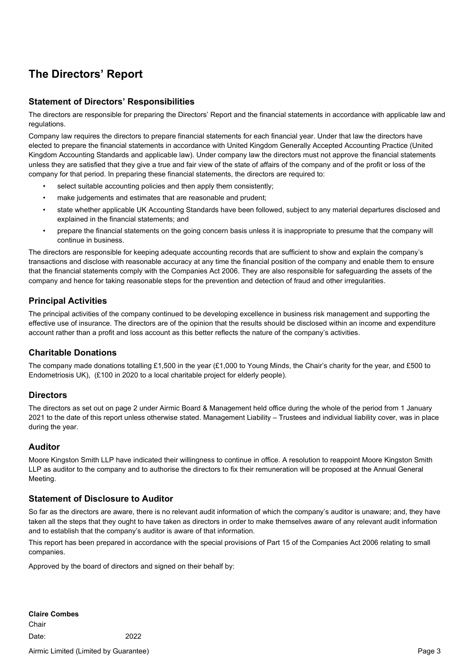# **The Directors' Report**

# **Statement of Directors' Responsibilities**

The directors are responsible for preparing the Directors' Report and the financial statements in accordance with applicable law and regulations.

Company law requires the directors to prepare financial statements for each financial year. Under that law the directors have elected to prepare the financial statements in accordance with United Kingdom Generally Accepted Accounting Practice (United Kingdom Accounting Standards and applicable law). Under company law the directors must not approve the financial statements unless they are satisfied that they give a true and fair view of the state of affairs of the company and of the profit or loss of the company for that period. In preparing these financial statements, the directors are required to:

- select suitable accounting policies and then apply them consistently;
- make judgements and estimates that are reasonable and prudent;
- state whether applicable UK Accounting Standards have been followed, subject to any material departures disclosed and explained in the financial statements; and
- prepare the financial statements on the going concern basis unless it is inappropriate to presume that the company will continue in business.

The directors are responsible for keeping adequate accounting records that are sufficient to show and explain the company's transactions and disclose with reasonable accuracy at any time the financial position of the company and enable them to ensure that the financial statements comply with the Companies Act 2006. They are also responsible for safeguarding the assets of the company and hence for taking reasonable steps for the prevention and detection of fraud and other irregularities.

# **Principal Activities**

The principal activities of the company continued to be developing excellence in business risk management and supporting the effective use of insurance. The directors are of the opinion that the results should be disclosed within an income and expenditure account rather than a profit and loss account as this better reflects the nature of the company's activities.

# **Charitable Donations**

The company made donations totalling £1,500 in the year (£1,000 to Young Minds, the Chair's charity for the year, and £500 to Endometriosis UK), (£100 in 2020 to a local charitable project for elderly people).

### **Directors**

The directors as set out on page 2 under Airmic Board & Management held office during the whole of the period from 1 January 2021 to the date of this report unless otherwise stated. Management Liability – Trustees and individual liability cover, was in place during the year.

### **Auditor**

Moore Kingston Smith LLP have indicated their willingness to continue in office. A resolution to reappoint Moore Kingston Smith LLP as auditor to the company and to authorise the directors to fix their remuneration will be proposed at the Annual General Meeting.

### **Statement of Disclosure to Auditor**

So far as the directors are aware, there is no relevant audit information of which the company's auditor is unaware; and, they have taken all the steps that they ought to have taken as directors in order to make themselves aware of any relevant audit information and to establish that the company's auditor is aware of that information.

This report has been prepared in accordance with the special provisions of Part 15 of the Companies Act 2006 relating to small companies.

Approved by the board of directors and signed on their behalf by:

**Claire Combes Chair** Date: 2022

Airmic Limited (Limited by Guarantee) Page 3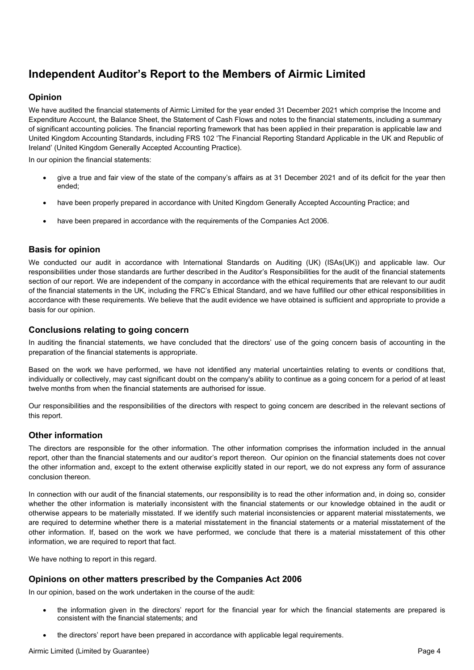# **Independent Auditor's Report to the Members of Airmic Limited**

# **Opinion**

We have audited the financial statements of Airmic Limited for the year ended 31 December 2021 which comprise the Income and Expenditure Account, the Balance Sheet, the Statement of Cash Flows and notes to the financial statements, including a summary of significant accounting policies. The financial reporting framework that has been applied in their preparation is applicable law and United Kingdom Accounting Standards, including FRS 102 'The Financial Reporting Standard Applicable in the UK and Republic of Ireland' (United Kingdom Generally Accepted Accounting Practice).

In our opinion the financial statements:

- give a true and fair view of the state of the company's affairs as at 31 December 2021 and of its deficit for the year then ended;
- have been properly prepared in accordance with United Kingdom Generally Accepted Accounting Practice; and
- have been prepared in accordance with the requirements of the Companies Act 2006.

# **Basis for opinion**

We conducted our audit in accordance with International Standards on Auditing (UK) (ISAs(UK)) and applicable law. Our responsibilities under those standards are further described in the Auditor's Responsibilities for the audit of the financial statements section of our report. We are independent of the company in accordance with the ethical requirements that are relevant to our audit of the financial statements in the UK, including the FRC's Ethical Standard, and we have fulfilled our other ethical responsibilities in accordance with these requirements. We believe that the audit evidence we have obtained is sufficient and appropriate to provide a basis for our opinion.

# **Conclusions relating to going concern**

In auditing the financial statements, we have concluded that the directors' use of the going concern basis of accounting in the preparation of the financial statements is appropriate.

Based on the work we have performed, we have not identified any material uncertainties relating to events or conditions that, individually or collectively, may cast significant doubt on the company's ability to continue as a going concern for a period of at least twelve months from when the financial statements are authorised for issue.

Our responsibilities and the responsibilities of the directors with respect to going concern are described in the relevant sections of this report.

### **Other information**

The directors are responsible for the other information. The other information comprises the information included in the annual report, other than the financial statements and our auditor's report thereon. Our opinion on the financial statements does not cover the other information and, except to the extent otherwise explicitly stated in our report, we do not express any form of assurance conclusion thereon.

In connection with our audit of the financial statements, our responsibility is to read the other information and, in doing so, consider whether the other information is materially inconsistent with the financial statements or our knowledge obtained in the audit or otherwise appears to be materially misstated. If we identify such material inconsistencies or apparent material misstatements, we are required to determine whether there is a material misstatement in the financial statements or a material misstatement of the other information. If, based on the work we have performed, we conclude that there is a material misstatement of this other information, we are required to report that fact.

We have nothing to report in this regard.

### **Opinions on other matters prescribed by the Companies Act 2006**

In our opinion, based on the work undertaken in the course of the audit:

- the information given in the directors' report for the financial year for which the financial statements are prepared is consistent with the financial statements; and
- the directors' report have been prepared in accordance with applicable legal requirements.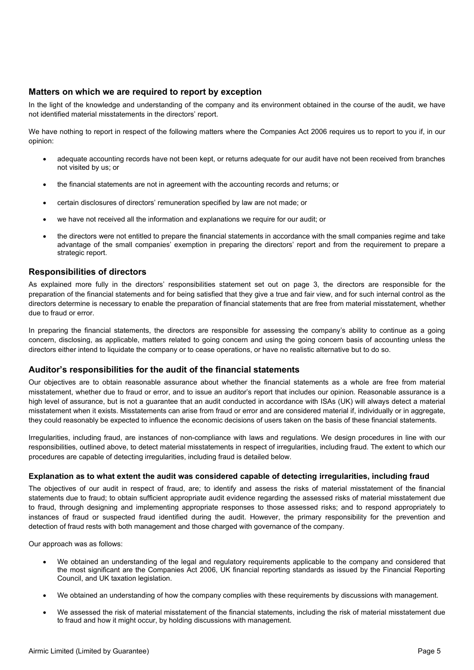## **Matters on which we are required to report by exception**

In the light of the knowledge and understanding of the company and its environment obtained in the course of the audit, we have not identified material misstatements in the directors' report.

We have nothing to report in respect of the following matters where the Companies Act 2006 requires us to report to you if, in our opinion:

- adequate accounting records have not been kept, or returns adequate for our audit have not been received from branches not visited by us; or
- the financial statements are not in agreement with the accounting records and returns; or
- certain disclosures of directors' remuneration specified by law are not made; or
- we have not received all the information and explanations we require for our audit; or
- the directors were not entitled to prepare the financial statements in accordance with the small companies regime and take advantage of the small companies' exemption in preparing the directors' report and from the requirement to prepare a strategic report.

### **Responsibilities of directors**

As explained more fully in the directors' responsibilities statement set out on page 3, the directors are responsible for the preparation of the financial statements and for being satisfied that they give a true and fair view, and for such internal control as the directors determine is necessary to enable the preparation of financial statements that are free from material misstatement, whether due to fraud or error.

In preparing the financial statements, the directors are responsible for assessing the company's ability to continue as a going concern, disclosing, as applicable, matters related to going concern and using the going concern basis of accounting unless the directors either intend to liquidate the company or to cease operations, or have no realistic alternative but to do so.

## **Auditor's responsibilities for the audit of the financial statements**

Our objectives are to obtain reasonable assurance about whether the financial statements as a whole are free from material misstatement, whether due to fraud or error, and to issue an auditor's report that includes our opinion. Reasonable assurance is a high level of assurance, but is not a guarantee that an audit conducted in accordance with ISAs (UK) will always detect a material misstatement when it exists. Misstatements can arise from fraud or error and are considered material if, individually or in aggregate, they could reasonably be expected to influence the economic decisions of users taken on the basis of these financial statements.

Irregularities, including fraud, are instances of non-compliance with laws and regulations. We design procedures in line with our responsibilities, outlined above, to detect material misstatements in respect of irregularities, including fraud. The extent to which our procedures are capable of detecting irregularities, including fraud is detailed below.

### **Explanation as to what extent the audit was considered capable of detecting irregularities, including fraud**

The objectives of our audit in respect of fraud, are; to identify and assess the risks of material misstatement of the financial statements due to fraud; to obtain sufficient appropriate audit evidence regarding the assessed risks of material misstatement due to fraud, through designing and implementing appropriate responses to those assessed risks; and to respond appropriately to instances of fraud or suspected fraud identified during the audit. However, the primary responsibility for the prevention and detection of fraud rests with both management and those charged with governance of the company.

Our approach was as follows:

- We obtained an understanding of the legal and regulatory requirements applicable to the company and considered that the most significant are the Companies Act 2006, UK financial reporting standards as issued by the Financial Reporting Council, and UK taxation legislation.
- We obtained an understanding of how the company complies with these requirements by discussions with management.
- We assessed the risk of material misstatement of the financial statements, including the risk of material misstatement due to fraud and how it might occur, by holding discussions with management.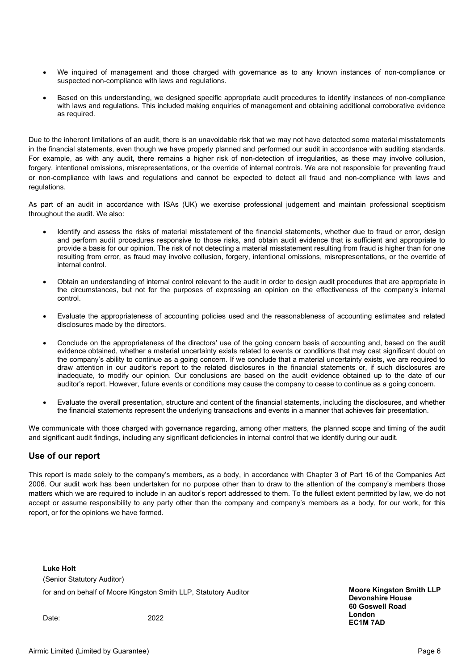- We inquired of management and those charged with governance as to any known instances of non-compliance or suspected non-compliance with laws and regulations.
- Based on this understanding, we designed specific appropriate audit procedures to identify instances of non-compliance with laws and regulations. This included making enquiries of management and obtaining additional corroborative evidence as required.

Due to the inherent limitations of an audit, there is an unavoidable risk that we may not have detected some material misstatements in the financial statements, even though we have properly planned and performed our audit in accordance with auditing standards. For example, as with any audit, there remains a higher risk of non-detection of irregularities, as these may involve collusion, forgery, intentional omissions, misrepresentations, or the override of internal controls. We are not responsible for preventing fraud or non-compliance with laws and regulations and cannot be expected to detect all fraud and non-compliance with laws and regulations.

As part of an audit in accordance with ISAs (UK) we exercise professional judgement and maintain professional scepticism throughout the audit. We also:

- Identify and assess the risks of material misstatement of the financial statements, whether due to fraud or error, design and perform audit procedures responsive to those risks, and obtain audit evidence that is sufficient and appropriate to provide a basis for our opinion. The risk of not detecting a material misstatement resulting from fraud is higher than for one resulting from error, as fraud may involve collusion, forgery, intentional omissions, misrepresentations, or the override of internal control.
- Obtain an understanding of internal control relevant to the audit in order to design audit procedures that are appropriate in the circumstances, but not for the purposes of expressing an opinion on the effectiveness of the company's internal control.
- Evaluate the appropriateness of accounting policies used and the reasonableness of accounting estimates and related disclosures made by the directors.
- Conclude on the appropriateness of the directors' use of the going concern basis of accounting and, based on the audit evidence obtained, whether a material uncertainty exists related to events or conditions that may cast significant doubt on the company's ability to continue as a going concern. If we conclude that a material uncertainty exists, we are required to draw attention in our auditor's report to the related disclosures in the financial statements or, if such disclosures are inadequate, to modify our opinion. Our conclusions are based on the audit evidence obtained up to the date of our auditor's report. However, future events or conditions may cause the company to cease to continue as a going concern.
- Evaluate the overall presentation, structure and content of the financial statements, including the disclosures, and whether the financial statements represent the underlying transactions and events in a manner that achieves fair presentation.

We communicate with those charged with governance regarding, among other matters, the planned scope and timing of the audit and significant audit findings, including any significant deficiencies in internal control that we identify during our audit.

## **Use of our report**

This report is made solely to the company's members, as a body, in accordance with Chapter 3 of Part 16 of the Companies Act 2006. Our audit work has been undertaken for no purpose other than to draw to the attention of the company's members those matters which we are required to include in an auditor's report addressed to them. To the fullest extent permitted by law, we do not accept or assume responsibility to any party other than the company and company's members as a body, for our work, for this report, or for the opinions we have formed.

**Luke Holt** (Senior Statutory Auditor) for and on behalf of Moore Kingston Smith LLP, Statutory Auditor

Date: 2022

**Moore Kingston Smith LLP Devonshire House 60 Goswell Road London EC1M 7AD**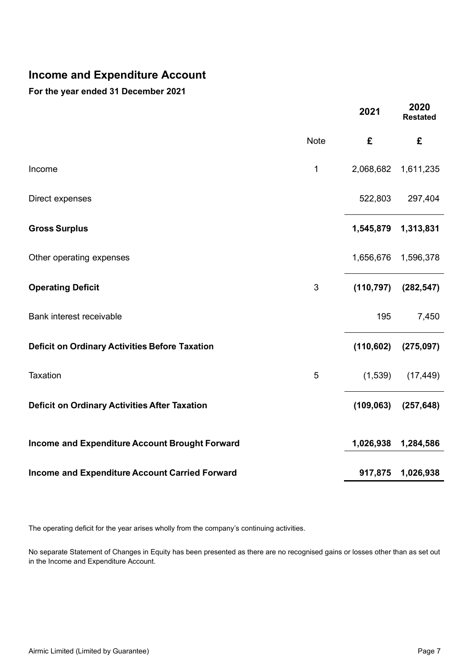# **Income and Expenditure Account**

# **For the year ended 31 December 2021**

|                                                       |              | 2021       | 2020<br><b>Restated</b> |
|-------------------------------------------------------|--------------|------------|-------------------------|
|                                                       | <b>Note</b>  | £          | £                       |
| Income                                                | $\mathbf{1}$ | 2,068,682  | 1,611,235               |
| Direct expenses                                       |              | 522,803    | 297,404                 |
| <b>Gross Surplus</b>                                  |              | 1,545,879  | 1,313,831               |
| Other operating expenses                              |              |            | 1,656,676 1,596,378     |
| <b>Operating Deficit</b>                              | 3            | (110, 797) | (282, 547)              |
| Bank interest receivable                              |              | 195        | 7,450                   |
| <b>Deficit on Ordinary Activities Before Taxation</b> |              | (110, 602) | (275,097)               |
| Taxation                                              | 5            | (1,539)    | (17, 449)               |
| <b>Deficit on Ordinary Activities After Taxation</b>  |              | (109, 063) | (257, 648)              |
| <b>Income and Expenditure Account Brought Forward</b> |              | 1,026,938  | 1,284,586               |
| <b>Income and Expenditure Account Carried Forward</b> |              | 917,875    | 1,026,938               |

The operating deficit for the year arises wholly from the company's continuing activities.

No separate Statement of Changes in Equity has been presented as there are no recognised gains or losses other than as set out in the Income and Expenditure Account.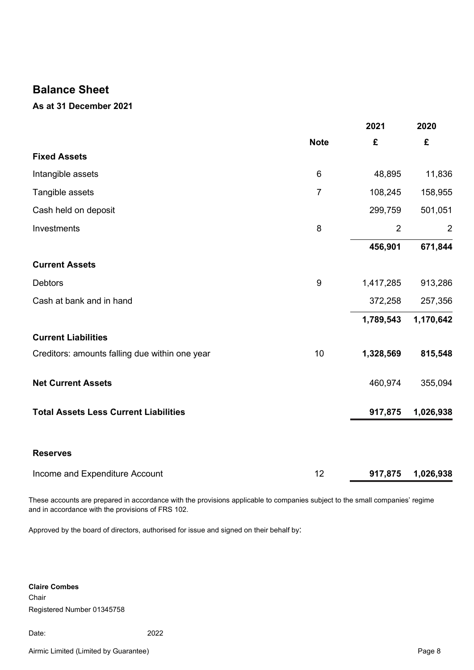# **Balance Sheet**

# **As at 31 December 2021**

|                                                |                | 2021           | 2020           |
|------------------------------------------------|----------------|----------------|----------------|
|                                                | <b>Note</b>    | £              | £              |
| <b>Fixed Assets</b>                            |                |                |                |
| Intangible assets                              | 6              | 48,895         | 11,836         |
| Tangible assets                                | $\overline{7}$ | 108,245        | 158,955        |
| Cash held on deposit                           |                | 299,759        | 501,051        |
| Investments                                    | 8              | $\overline{2}$ | $\overline{2}$ |
|                                                |                | 456,901        | 671,844        |
| <b>Current Assets</b>                          |                |                |                |
| <b>Debtors</b>                                 | 9              | 1,417,285      | 913,286        |
| Cash at bank and in hand                       |                | 372,258        | 257,356        |
|                                                |                | 1,789,543      | 1,170,642      |
| <b>Current Liabilities</b>                     |                |                |                |
| Creditors: amounts falling due within one year | 10             | 1,328,569      | 815,548        |
| <b>Net Current Assets</b>                      |                | 460,974        | 355,094        |
| <b>Total Assets Less Current Liabilities</b>   |                | 917,875        | 1,026,938      |
| <b>Reserves</b>                                |                |                |                |
| Income and Expenditure Account                 | 12             | 917,875        | 1,026,938      |

These accounts are prepared in accordance with the provisions applicable to companies subject to the small companies' regime and in accordance with the provisions of FRS 102.

Approved by the board of directors, authorised for issue and signed on their behalf by:

**Claire Combes** Chair Registered Number 01345758

Airmic Limited (Limited by Guarantee) example and the example of the example of the Page 8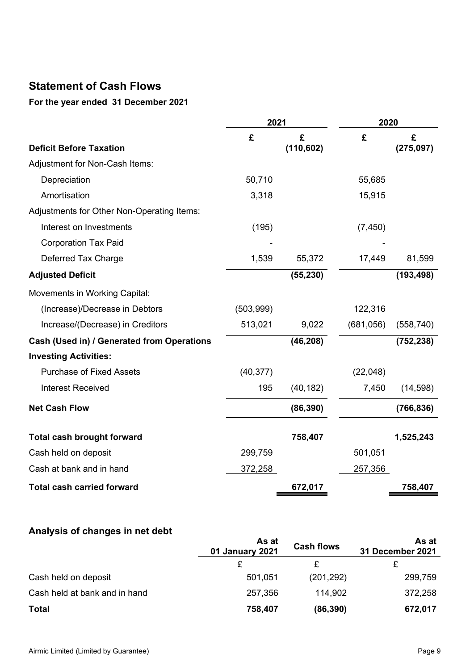# **Statement of Cash Flows**

# **For the year ended 31 December 2021**

|                                            | 2021       |                 | 2020       |                 |
|--------------------------------------------|------------|-----------------|------------|-----------------|
| <b>Deficit Before Taxation</b>             | £          | £<br>(110, 602) | £          | £<br>(275, 097) |
| Adjustment for Non-Cash Items:             |            |                 |            |                 |
| Depreciation                               | 50,710     |                 | 55,685     |                 |
| Amortisation                               | 3,318      |                 | 15,915     |                 |
| Adjustments for Other Non-Operating Items: |            |                 |            |                 |
| Interest on Investments                    | (195)      |                 | (7, 450)   |                 |
| <b>Corporation Tax Paid</b>                |            |                 |            |                 |
| Deferred Tax Charge                        | 1,539      | 55,372          | 17,449     | 81,599          |
| <b>Adjusted Deficit</b>                    |            | (55, 230)       |            | (193, 498)      |
| <b>Movements in Working Capital:</b>       |            |                 |            |                 |
| (Increase)/Decrease in Debtors             | (503, 999) |                 | 122,316    |                 |
| Increase/(Decrease) in Creditors           | 513,021    | 9,022           | (681, 056) | (558, 740)      |
| Cash (Used in) / Generated from Operations |            | (46, 208)       |            | (752, 238)      |
| <b>Investing Activities:</b>               |            |                 |            |                 |
| <b>Purchase of Fixed Assets</b>            | (40, 377)  |                 | (22, 048)  |                 |
| <b>Interest Received</b>                   | 195        | (40, 182)       | 7,450      | (14, 598)       |
| <b>Net Cash Flow</b>                       |            | (86, 390)       |            | (766, 836)      |
| <b>Total cash brought forward</b>          |            | 758,407         |            | 1,525,243       |
| Cash held on deposit                       | 299,759    |                 | 501,051    |                 |
| Cash at bank and in hand                   | 372,258    |                 | 257,356    |                 |
| <b>Total cash carried forward</b>          |            | 672,017         |            | 758,407         |

# **Analysis of changes in net debt**

|                               | As at<br>01 January 2021 | <b>Cash flows</b> | As at<br>31 December 2021 |
|-------------------------------|--------------------------|-------------------|---------------------------|
|                               |                          |                   |                           |
| Cash held on deposit          | 501,051                  | (201, 292)        | 299,759                   |
| Cash held at bank and in hand | 257,356                  | 114,902           | 372,258                   |
| <b>Total</b>                  | 758,407                  | (86, 390)         | 672,017                   |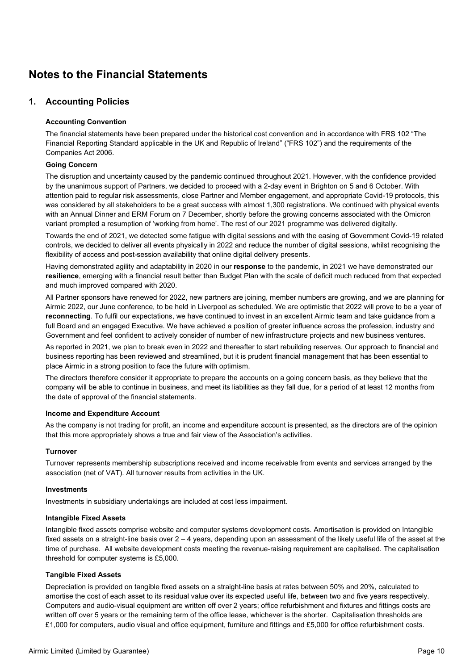# **Notes to the Financial Statements**

# **1. Accounting Policies**

### **Accounting Convention**

The financial statements have been prepared under the historical cost convention and in accordance with FRS 102 "The Financial Reporting Standard applicable in the UK and Republic of Ireland" ("FRS 102") and the requirements of the Companies Act 2006.

### **Going Concern**

The disruption and uncertainty caused by the pandemic continued throughout 2021. However, with the confidence provided by the unanimous support of Partners, we decided to proceed with a 2-day event in Brighton on 5 and 6 October. With attention paid to regular risk assessments, close Partner and Member engagement, and appropriate Covid-19 protocols, this was considered by all stakeholders to be a great success with almost 1,300 registrations. We continued with physical events with an Annual Dinner and ERM Forum on 7 December, shortly before the growing concerns associated with the Omicron variant prompted a resumption of 'working from home'. The rest of our 2021 programme was delivered digitally.

Towards the end of 2021, we detected some fatigue with digital sessions and with the easing of Government Covid-19 related controls, we decided to deliver all events physically in 2022 and reduce the number of digital sessions, whilst recognising the flexibility of access and post-session availability that online digital delivery presents.

Having demonstrated agility and adaptability in 2020 in our **response** to the pandemic, in 2021 we have demonstrated our **resilience**, emerging with a financial result better than Budget Plan with the scale of deficit much reduced from that expected and much improved compared with 2020.

All Partner sponsors have renewed for 2022, new partners are joining, member numbers are growing, and we are planning for Airmic 2022, our June conference, to be held in Liverpool as scheduled. We are optimistic that 2022 will prove to be a year of **reconnecting**. To fulfil our expectations, we have continued to invest in an excellent Airmic team and take guidance from a full Board and an engaged Executive. We have achieved a position of greater influence across the profession, industry and Government and feel confident to actively consider of number of new infrastructure projects and new business ventures.

As reported in 2021, we plan to break even in 2022 and thereafter to start rebuilding reserves. Our approach to financial and business reporting has been reviewed and streamlined, but it is prudent financial management that has been essential to place Airmic in a strong position to face the future with optimism.

The directors therefore consider it appropriate to prepare the accounts on a going concern basis, as they believe that the company will be able to continue in business, and meet its liabilities as they fall due, for a period of at least 12 months from the date of approval of the financial statements.

### **Income and Expenditure Account**

As the company is not trading for profit, an income and expenditure account is presented, as the directors are of the opinion that this more appropriately shows a true and fair view of the Association's activities.

### **Turnover**

Turnover represents membership subscriptions received and income receivable from events and services arranged by the association (net of VAT). All turnover results from activities in the UK.

### **Investments**

Investments in subsidiary undertakings are included at cost less impairment.

### **Intangible Fixed Assets**

Intangible fixed assets comprise website and computer systems development costs. Amortisation is provided on Intangible fixed assets on a straight-line basis over 2 – 4 years, depending upon an assessment of the likely useful life of the asset at the time of purchase. All website development costs meeting the revenue-raising requirement are capitalised. The capitalisation threshold for computer systems is £5,000.

### **Tangible Fixed Assets**

Depreciation is provided on tangible fixed assets on a straight-line basis at rates between 50% and 20%, calculated to amortise the cost of each asset to its residual value over its expected useful life, between two and five years respectively. Computers and audio-visual equipment are written off over 2 years; office refurbishment and fixtures and fittings costs are written off over 5 years or the remaining term of the office lease, whichever is the shorter. Capitalisation thresholds are £1,000 for computers, audio visual and office equipment, furniture and fittings and £5,000 for office refurbishment costs.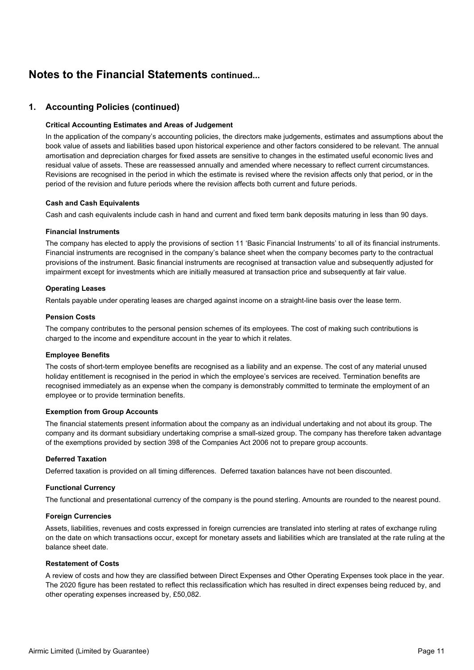# **1. Accounting Policies (continued)**

#### **Critical Accounting Estimates and Areas of Judgement**

In the application of the company's accounting policies, the directors make judgements, estimates and assumptions about the book value of assets and liabilities based upon historical experience and other factors considered to be relevant. The annual amortisation and depreciation charges for fixed assets are sensitive to changes in the estimated useful economic lives and residual value of assets. These are reassessed annually and amended where necessary to reflect current circumstances. Revisions are recognised in the period in which the estimate is revised where the revision affects only that period, or in the period of the revision and future periods where the revision affects both current and future periods.

#### **Cash and Cash Equivalents**

Cash and cash equivalents include cash in hand and current and fixed term bank deposits maturing in less than 90 days.

#### **Financial Instruments**

The company has elected to apply the provisions of section 11 'Basic Financial Instruments' to all of its financial instruments. Financial instruments are recognised in the company's balance sheet when the company becomes party to the contractual provisions of the instrument. Basic financial instruments are recognised at transaction value and subsequently adjusted for impairment except for investments which are initially measured at transaction price and subsequently at fair value.

### **Operating Leases**

Rentals payable under operating leases are charged against income on a straight-line basis over the lease term.

#### **Pension Costs**

The company contributes to the personal pension schemes of its employees. The cost of making such contributions is charged to the income and expenditure account in the year to which it relates.

#### **Employee Benefits**

The costs of short-term employee benefits are recognised as a liability and an expense. The cost of any material unused holiday entitlement is recognised in the period in which the employee's services are received. Termination benefits are recognised immediately as an expense when the company is demonstrably committed to terminate the employment of an employee or to provide termination benefits.

#### **Exemption from Group Accounts**

The financial statements present information about the company as an individual undertaking and not about its group. The company and its dormant subsidiary undertaking comprise a small-sized group. The company has therefore taken advantage of the exemptions provided by section 398 of the Companies Act 2006 not to prepare group accounts.

#### **Deferred Taxation**

Deferred taxation is provided on all timing differences. Deferred taxation balances have not been discounted.

#### **Functional Currency**

The functional and presentational currency of the company is the pound sterling. Amounts are rounded to the nearest pound.

#### **Foreign Currencies**

Assets, liabilities, revenues and costs expressed in foreign currencies are translated into sterling at rates of exchange ruling on the date on which transactions occur, except for monetary assets and liabilities which are translated at the rate ruling at the balance sheet date.

### **Restatement of Costs**

A review of costs and how they are classified between Direct Expenses and Other Operating Expenses took place in the year. The 2020 figure has been restated to reflect this reclassification which has resulted in direct expenses being reduced by, and other operating expenses increased by, £50,082.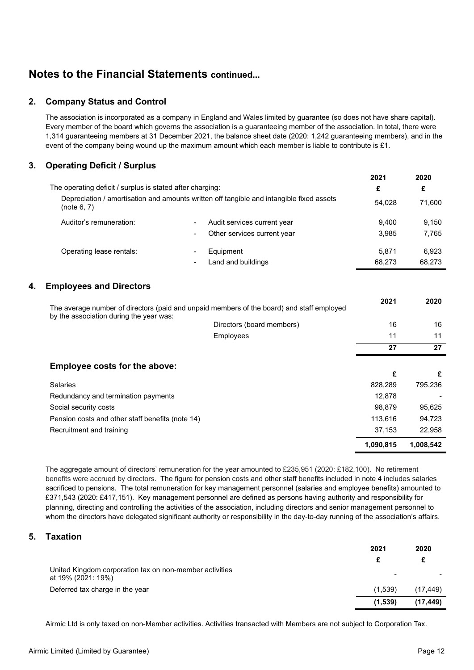# **2. Company Status and Control**

The association is incorporated as a company in England and Wales limited by guarantee (so does not have share capital). Every member of the board which governs the association is a guaranteeing member of the association. In total, there were 1,314 guaranteeing members at 31 December 2021, the balance sheet date (2020: 1,242 guaranteeing members), and in the event of the company being wound up the maximum amount which each member is liable to contribute is £1.

# **3. Operating Deficit / Surplus**

|                                                           |                                                                                          | 2021   | 2020   |
|-----------------------------------------------------------|------------------------------------------------------------------------------------------|--------|--------|
| The operating deficit / surplus is stated after charging: |                                                                                          | £      | £      |
| (note 6, 7)                                               | Depreciation / amortisation and amounts written off tangible and intangible fixed assets | 54.028 | 71.600 |
| Auditor's remuneration:                                   | Audit services current year<br>$\blacksquare$                                            | 9.400  | 9.150  |
|                                                           | Other services current year<br>$\blacksquare$                                            | 3.985  | 7.765  |
| Operating lease rentals:                                  | Equipment                                                                                | 5.871  | 6.923  |
|                                                           | Land and buildings                                                                       | 68.273 | 68,273 |

# **4. Employees and Directors**

|                                                  | The average number of directors (paid and unpaid members of the board) and staff employed | 2021         | 2020         |
|--------------------------------------------------|-------------------------------------------------------------------------------------------|--------------|--------------|
| by the association during the year was:          | Directors (board members)                                                                 | 16           | 16           |
|                                                  | Employees                                                                                 | 11           | 11           |
|                                                  |                                                                                           | 27           | 27           |
| <b>Employee costs for the above:</b>             |                                                                                           |              |              |
| Salaries                                         |                                                                                           | £<br>828,289 | £<br>795,236 |
|                                                  |                                                                                           |              |              |
| Redundancy and termination payments              |                                                                                           | 12,878       |              |
| Social security costs                            |                                                                                           | 98.879       | 95,625       |
| Pension costs and other staff benefits (note 14) |                                                                                           | 113,616      | 94,723       |
| Recruitment and training                         |                                                                                           | 37,153       | 22,958       |
|                                                  |                                                                                           | 1,090,815    | 1,008,542    |

The aggregate amount of directors' remuneration for the year amounted to £235,951 (2020: £182,100). No retirement benefits were accrued by directors. The figure for pension costs and other staff benefits included in note 4 includes salaries sacrificed to pensions. The total remuneration for key management personnel (salaries and employee benefits) amounted to £371,543 (2020: £417,151). Key management personnel are defined as persons having authority and responsibility for planning, directing and controlling the activities of the association, including directors and senior management personnel to whom the directors have delegated significant authority or responsibility in the day-to-day running of the association's affairs.

# **5. Taxation**

|                                                                               | 2021    | 2020      |
|-------------------------------------------------------------------------------|---------|-----------|
|                                                                               |         | c         |
| United Kingdom corporation tax on non-member activities<br>at 19% (2021: 19%) |         |           |
| Deferred tax charge in the year                                               | (1,539) | (17, 449) |
|                                                                               | (1,539) | (17.449)  |

Airmic Ltd is only taxed on non-Member activities. Activities transacted with Members are not subject to Corporation Tax.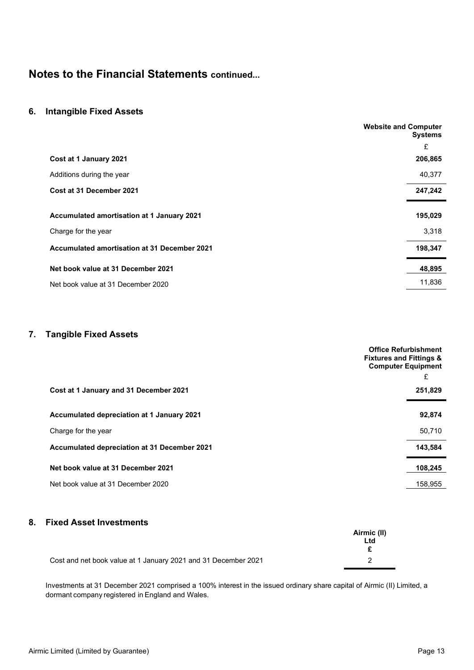# **6. Intangible Fixed Assets**

|                                                     | <b>Website and Computer</b><br><b>Systems</b> |
|-----------------------------------------------------|-----------------------------------------------|
|                                                     | £                                             |
| Cost at 1 January 2021                              | 206,865                                       |
| Additions during the year                           | 40,377                                        |
| Cost at 31 December 2021                            | 247,242                                       |
|                                                     |                                               |
| Accumulated amortisation at 1 January 2021          | 195,029                                       |
| Charge for the year                                 | 3,318                                         |
| <b>Accumulated amortisation at 31 December 2021</b> | 198,347                                       |
| Net book value at 31 December 2021                  | 48,895                                        |
| Net book value at 31 December 2020                  | 11,836                                        |

# **7. Tangible Fixed Assets**

|                                              | <b>Office Refurbishment</b><br><b>Fixtures and Fittings &amp;</b><br><b>Computer Equipment</b> |
|----------------------------------------------|------------------------------------------------------------------------------------------------|
|                                              | £                                                                                              |
| Cost at 1 January and 31 December 2021       | 251,829                                                                                        |
|                                              |                                                                                                |
| Accumulated depreciation at 1 January 2021   | 92,874                                                                                         |
| Charge for the year                          | 50,710                                                                                         |
|                                              |                                                                                                |
| Accumulated depreciation at 31 December 2021 | 143,584                                                                                        |
|                                              |                                                                                                |
| Net book value at 31 December 2021           | 108,245                                                                                        |
| Net book value at 31 December 2020           | 158,955                                                                                        |

# **8. Fixed Asset Investments**

|                                                                | Airmic (II)<br>Ltd |
|----------------------------------------------------------------|--------------------|
| Cost and net book value at 1 January 2021 and 31 December 2021 |                    |

Investments at 31 December 2021 comprised a 100% interest in the issued ordinary share capital of Airmic (II) Limited, a dormant company registered in England and Wales.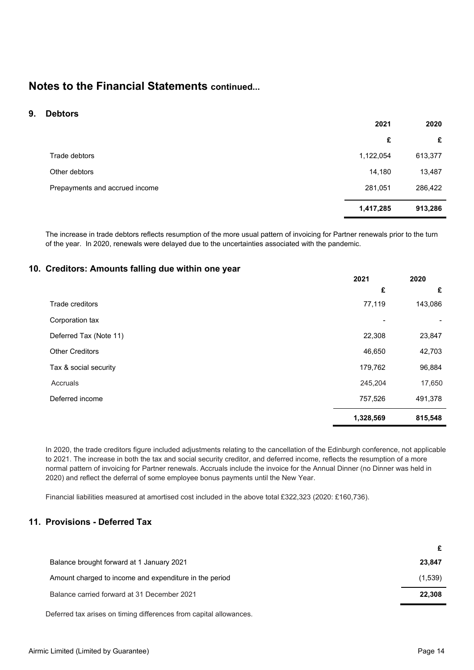## **9. Debtors**

|                                | 2021      | 2020    |
|--------------------------------|-----------|---------|
|                                | £         | £       |
| Trade debtors                  | 1,122,054 | 613,377 |
| Other debtors                  | 14,180    | 13,487  |
| Prepayments and accrued income | 281,051   | 286,422 |
|                                | 1,417,285 | 913,286 |

The increase in trade debtors reflects resumption of the more usual pattern of invoicing for Partner renewals prior to the turn of the year. In 2020, renewals were delayed due to the uncertainties associated with the pandemic.

# **10. Creditors: Amounts falling due within one year**

|                        | 2021      | 2020    |  |
|------------------------|-----------|---------|--|
|                        | £         | £       |  |
| Trade creditors        | 77,119    | 143,086 |  |
| Corporation tax        |           |         |  |
| Deferred Tax (Note 11) | 22,308    | 23,847  |  |
| <b>Other Creditors</b> | 46,650    | 42,703  |  |
| Tax & social security  | 179,762   | 96,884  |  |
| Accruals               | 245,204   | 17,650  |  |
| Deferred income        | 757,526   | 491,378 |  |
|                        | 1,328,569 | 815,548 |  |

In 2020, the trade creditors figure included adjustments relating to the cancellation of the Edinburgh conference, not applicable to 2021. The increase in both the tax and social security creditor, and deferred income, reflects the resumption of a more normal pattern of invoicing for Partner renewals. Accruals include the invoice for the Annual Dinner (no Dinner was held in 2020) and reflect the deferral of some employee bonus payments until the New Year.

Financial liabilities measured at amortised cost included in the above total £322,323 (2020: £160,736).

# **11. Provisions - Deferred Tax**

| Balance brought forward at 1 January 2021              | 23,847  |
|--------------------------------------------------------|---------|
| Amount charged to income and expenditure in the period | (1,539) |
| Balance carried forward at 31 December 2021            | 22,308  |
|                                                        |         |

Deferred tax arises on timing differences from capital allowances.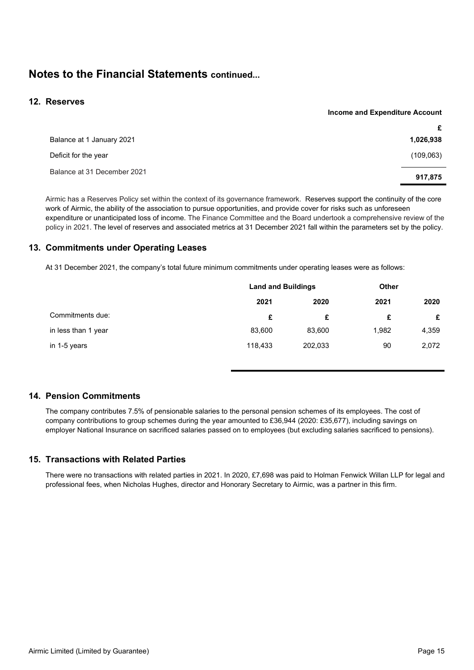## **12. Reserves**

|                             | <b>Income and Expenditure Account</b> |  |
|-----------------------------|---------------------------------------|--|
|                             | £                                     |  |
| Balance at 1 January 2021   | 1,026,938                             |  |
| Deficit for the year        | (109,063)                             |  |
| Balance at 31 December 2021 | 917,875                               |  |

Airmic has a Reserves Policy set within the context of its governance framework. Reserves support the continuity of the core work of Airmic, the ability of the association to pursue opportunities, and provide cover for risks such as unforeseen expenditure or unanticipated loss of income. The Finance Committee and the Board undertook a comprehensive review of the policy in 2021. The level of reserves and associated metrics at 31 December 2021 fall within the parameters set by the policy.

# **13. Commitments under Operating Leases**

At 31 December 2021, the company's total future minimum commitments under operating leases were as follows:

|                     | <b>Land and Buildings</b> |         | <b>Other</b> |       |
|---------------------|---------------------------|---------|--------------|-------|
|                     | 2021                      | 2020    | 2021         | 2020  |
| Commitments due:    | £                         | £       | £            | £     |
| in less than 1 year | 83,600                    | 83,600  | 1,982        | 4,359 |
| in 1-5 years        | 118,433                   | 202,033 | 90           | 2,072 |

# **14. Pension Commitments**

The company contributes 7.5% of pensionable salaries to the personal pension schemes of its employees. The cost of company contributions to group schemes during the year amounted to £36,944 (2020: £35,677), including savings on employer National Insurance on sacrificed salaries passed on to employees (but excluding salaries sacrificed to pensions).

# **15. Transactions with Related Parties**

There were no transactions with related parties in 2021. In 2020, £7,698 was paid to Holman Fenwick Willan LLP for legal and professional fees, when Nicholas Hughes, director and Honorary Secretary to Airmic, was a partner in this firm.